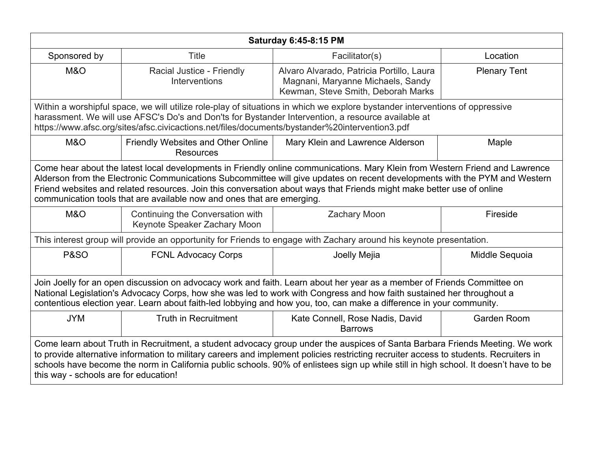| <b>Saturday 6:45-8:15 PM</b>                                                                                                                                                                                                                                                                                                                                                                                                                                  |                                                                                                |                                                                                                                                                                                                                                    |                     |  |
|---------------------------------------------------------------------------------------------------------------------------------------------------------------------------------------------------------------------------------------------------------------------------------------------------------------------------------------------------------------------------------------------------------------------------------------------------------------|------------------------------------------------------------------------------------------------|------------------------------------------------------------------------------------------------------------------------------------------------------------------------------------------------------------------------------------|---------------------|--|
| Sponsored by                                                                                                                                                                                                                                                                                                                                                                                                                                                  | <b>Title</b>                                                                                   | Facilitator(s)                                                                                                                                                                                                                     | Location            |  |
| M&O                                                                                                                                                                                                                                                                                                                                                                                                                                                           | Racial Justice - Friendly<br>Interventions                                                     | Alvaro Alvarado, Patricia Portillo, Laura<br>Magnani, Maryanne Michaels, Sandy<br>Kewman, Steve Smith, Deborah Marks                                                                                                               | <b>Plenary Tent</b> |  |
|                                                                                                                                                                                                                                                                                                                                                                                                                                                               | https://www.afsc.org/sites/afsc.civicactions.net/files/documents/bystander%20intervention3.pdf | Within a worshipful space, we will utilize role-play of situations in which we explore bystander interventions of oppressive<br>harassment. We will use AFSC's Do's and Don'ts for Bystander Intervention, a resource available at |                     |  |
| M&O                                                                                                                                                                                                                                                                                                                                                                                                                                                           | Friendly Websites and Other Online<br><b>Resources</b>                                         | Mary Klein and Lawrence Alderson                                                                                                                                                                                                   | Maple               |  |
| Come hear about the latest local developments in Friendly online communications. Mary Klein from Western Friend and Lawrence<br>Alderson from the Electronic Communications Subcommittee will give updates on recent developments with the PYM and Western<br>Friend websites and related resources. Join this conversation about ways that Friends might make better use of online<br>communication tools that are available now and ones that are emerging. |                                                                                                |                                                                                                                                                                                                                                    |                     |  |
| <b>M&amp;O</b>                                                                                                                                                                                                                                                                                                                                                                                                                                                | Continuing the Conversation with<br>Keynote Speaker Zachary Moon                               | <b>Zachary Moon</b>                                                                                                                                                                                                                | Fireside            |  |
|                                                                                                                                                                                                                                                                                                                                                                                                                                                               |                                                                                                | This interest group will provide an opportunity for Friends to engage with Zachary around his keynote presentation.                                                                                                                |                     |  |
| <b>P&amp;SO</b>                                                                                                                                                                                                                                                                                                                                                                                                                                               | <b>FCNL Advocacy Corps</b>                                                                     | Joelly Mejia                                                                                                                                                                                                                       | Middle Sequoia      |  |
| Join Joelly for an open discussion on advocacy work and faith. Learn about her year as a member of Friends Committee on<br>National Legislation's Advocacy Corps, how she was led to work with Congress and how faith sustained her throughout a<br>contentious election year. Learn about faith-led lobbying and how you, too, can make a difference in your community.                                                                                      |                                                                                                |                                                                                                                                                                                                                                    |                     |  |
| <b>JYM</b>                                                                                                                                                                                                                                                                                                                                                                                                                                                    | <b>Truth in Recruitment</b>                                                                    | Kate Connell, Rose Nadis, David<br><b>Barrows</b>                                                                                                                                                                                  | Garden Room         |  |
| Come learn about Truth in Recruitment, a student advocacy group under the auspices of Santa Barbara Friends Meeting. We work<br>to provide alternative information to military careers and implement policies restricting recruiter access to students. Recruiters in<br>schools have become the norm in California public schools. 90% of enlistees sign up while still in high school. It doesn't have to be<br>this way - schools are for education!       |                                                                                                |                                                                                                                                                                                                                                    |                     |  |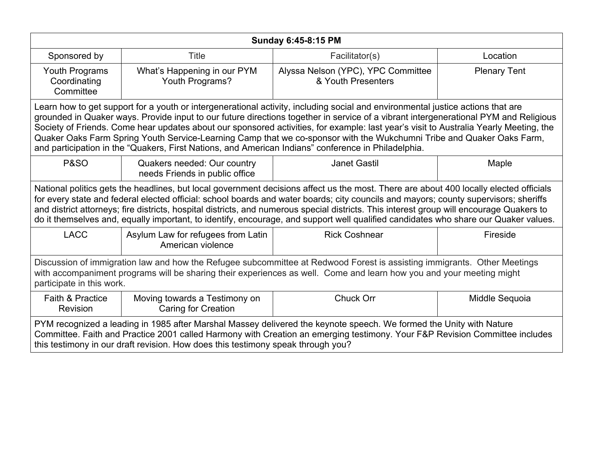| <b>Sunday 6:45-8:15 PM</b>                                                                                                                                                                                                                                                                                                                                                                                                                                                                                                                                                                                                                       |                                                               |                                                          |                     |  |
|--------------------------------------------------------------------------------------------------------------------------------------------------------------------------------------------------------------------------------------------------------------------------------------------------------------------------------------------------------------------------------------------------------------------------------------------------------------------------------------------------------------------------------------------------------------------------------------------------------------------------------------------------|---------------------------------------------------------------|----------------------------------------------------------|---------------------|--|
| Sponsored by                                                                                                                                                                                                                                                                                                                                                                                                                                                                                                                                                                                                                                     | <b>Title</b>                                                  | Facilitator(s)                                           | Location            |  |
| Youth Programs<br>Coordinating<br>Committee                                                                                                                                                                                                                                                                                                                                                                                                                                                                                                                                                                                                      | What's Happening in our PYM<br>Youth Programs?                | Alyssa Nelson (YPC), YPC Committee<br>& Youth Presenters | <b>Plenary Tent</b> |  |
| Learn how to get support for a youth or intergenerational activity, including social and environmental justice actions that are<br>grounded in Quaker ways. Provide input to our future directions together in service of a vibrant intergenerational PYM and Religious<br>Society of Friends. Come hear updates about our sponsored activities, for example: last year's visit to Australia Yearly Meeting, the<br>Quaker Oaks Farm Spring Youth Service-Learning Camp that we co-sponsor with the Wukchumni Tribe and Quaker Oaks Farm,<br>and participation in the "Quakers, First Nations, and American Indians" conference in Philadelphia. |                                                               |                                                          |                     |  |
| <b>P&amp;SO</b>                                                                                                                                                                                                                                                                                                                                                                                                                                                                                                                                                                                                                                  | Quakers needed: Our country<br>needs Friends in public office | <b>Janet Gastil</b>                                      | Maple               |  |
| National politics gets the headlines, but local government decisions affect us the most. There are about 400 locally elected officials<br>for every state and federal elected official: school boards and water boards; city councils and mayors; county supervisors; sheriffs<br>and district attorneys; fire districts, hospital districts, and numerous special districts. This interest group will encourage Quakers to<br>do it themselves and, equally important, to identify, encourage, and support well qualified candidates who share our Quaker values.                                                                               |                                                               |                                                          |                     |  |
| <b>LACC</b>                                                                                                                                                                                                                                                                                                                                                                                                                                                                                                                                                                                                                                      | Asylum Law for refugees from Latin<br>American violence       | <b>Rick Coshnear</b>                                     | Fireside            |  |
| Discussion of immigration law and how the Refugee subcommittee at Redwood Forest is assisting immigrants. Other Meetings<br>with accompaniment programs will be sharing their experiences as well. Come and learn how you and your meeting might<br>participate in this work.                                                                                                                                                                                                                                                                                                                                                                    |                                                               |                                                          |                     |  |
| Faith & Practice<br>Revision                                                                                                                                                                                                                                                                                                                                                                                                                                                                                                                                                                                                                     | Moving towards a Testimony on<br><b>Caring for Creation</b>   | Chuck Orr                                                | Middle Sequoia      |  |
| PYM recognized a leading in 1985 after Marshal Massey delivered the keynote speech. We formed the Unity with Nature<br>Committee. Faith and Practice 2001 called Harmony with Creation an emerging testimony. Your F&P Revision Committee includes<br>this testimony in our draft revision. How does this testimony speak through you?                                                                                                                                                                                                                                                                                                           |                                                               |                                                          |                     |  |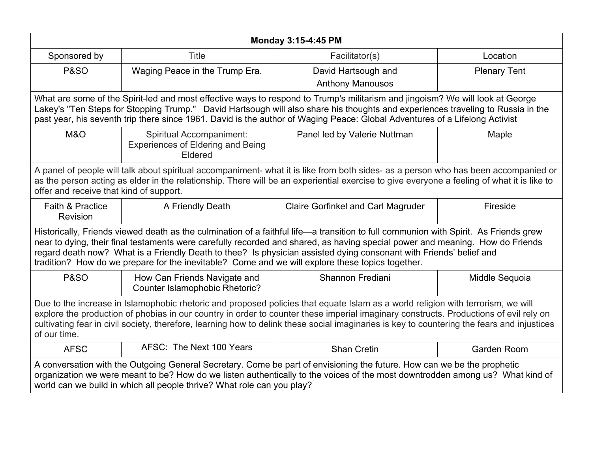| <b>Monday 3:15-4:45 PM</b>                                                                                                                                                                                                                                                                                                                                                                                                                                                                      |                                                                                        |                                                                                                                                                                                                                                                                                                                                                                                                 |                     |  |
|-------------------------------------------------------------------------------------------------------------------------------------------------------------------------------------------------------------------------------------------------------------------------------------------------------------------------------------------------------------------------------------------------------------------------------------------------------------------------------------------------|----------------------------------------------------------------------------------------|-------------------------------------------------------------------------------------------------------------------------------------------------------------------------------------------------------------------------------------------------------------------------------------------------------------------------------------------------------------------------------------------------|---------------------|--|
| Sponsored by                                                                                                                                                                                                                                                                                                                                                                                                                                                                                    | <b>Title</b>                                                                           | Facilitator(s)                                                                                                                                                                                                                                                                                                                                                                                  | Location            |  |
| <b>P&amp;SO</b>                                                                                                                                                                                                                                                                                                                                                                                                                                                                                 | Waging Peace in the Trump Era.                                                         | David Hartsough and                                                                                                                                                                                                                                                                                                                                                                             | <b>Plenary Tent</b> |  |
|                                                                                                                                                                                                                                                                                                                                                                                                                                                                                                 |                                                                                        | <b>Anthony Manousos</b>                                                                                                                                                                                                                                                                                                                                                                         |                     |  |
|                                                                                                                                                                                                                                                                                                                                                                                                                                                                                                 |                                                                                        | What are some of the Spirit-led and most effective ways to respond to Trump's militarism and jingoism? We will look at George<br>Lakey's "Ten Steps for Stopping Trump." David Hartsough will also share his thoughts and experiences traveling to Russia in the<br>past year, his seventh trip there since 1961. David is the author of Waging Peace: Global Adventures of a Lifelong Activist |                     |  |
| M&O                                                                                                                                                                                                                                                                                                                                                                                                                                                                                             | <b>Spiritual Accompaniment:</b><br><b>Experiences of Eldering and Being</b><br>Eldered | Panel led by Valerie Nuttman                                                                                                                                                                                                                                                                                                                                                                    | Maple               |  |
| A panel of people will talk about spiritual accompaniment- what it is like from both sides- as a person who has been accompanied or<br>as the person acting as elder in the relationship. There will be an experiential exercise to give everyone a feeling of what it is like to<br>offer and receive that kind of support.                                                                                                                                                                    |                                                                                        |                                                                                                                                                                                                                                                                                                                                                                                                 |                     |  |
| <b>Faith &amp; Practice</b><br>Revision                                                                                                                                                                                                                                                                                                                                                                                                                                                         | A Friendly Death                                                                       | <b>Claire Gorfinkel and Carl Magruder</b>                                                                                                                                                                                                                                                                                                                                                       | Fireside            |  |
| Historically, Friends viewed death as the culmination of a faithful life—a transition to full communion with Spirit. As Friends grew<br>near to dying, their final testaments were carefully recorded and shared, as having special power and meaning. How do Friends<br>regard death now? What is a Friendly Death to thee? Is physician assisted dying consonant with Friends' belief and<br>tradition? How do we prepare for the inevitable? Come and we will explore these topics together. |                                                                                        |                                                                                                                                                                                                                                                                                                                                                                                                 |                     |  |
| <b>P&amp;SO</b>                                                                                                                                                                                                                                                                                                                                                                                                                                                                                 | How Can Friends Navigate and<br><b>Counter Islamophobic Rhetoric?</b>                  | Shannon Frediani                                                                                                                                                                                                                                                                                                                                                                                | Middle Sequoia      |  |
| Due to the increase in Islamophobic rhetoric and proposed policies that equate Islam as a world religion with terrorism, we will<br>explore the production of phobias in our country in order to counter these imperial imaginary constructs. Productions of evil rely on<br>cultivating fear in civil society, therefore, learning how to delink these social imaginaries is key to countering the fears and injustices<br>of our time.                                                        |                                                                                        |                                                                                                                                                                                                                                                                                                                                                                                                 |                     |  |
| <b>AFSC</b>                                                                                                                                                                                                                                                                                                                                                                                                                                                                                     | AFSC: The Next 100 Years                                                               | <b>Shan Cretin</b>                                                                                                                                                                                                                                                                                                                                                                              | Garden Room         |  |
| A conversation with the Outgoing General Secretary. Come be part of envisioning the future. How can we be the prophetic<br>organization we were meant to be? How do we listen authentically to the voices of the most downtrodden among us? What kind of<br>world can we build in which all people thrive? What role can you play?                                                                                                                                                              |                                                                                        |                                                                                                                                                                                                                                                                                                                                                                                                 |                     |  |